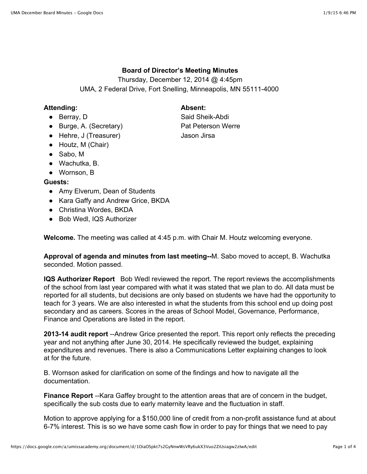## **Board of Director's Meeting Minutes**

Thursday, December 12, 2014 @ 4:45pm UMA, 2 Federal Drive, Fort Snelling, Minneapolis, MN 55111-4000

## **Attending: Absent:**

- Berray, D Said Sheik-Abdi
- Burge, A. (Secretary) Pat Peterson Werre
- Hehre, J (Treasurer) Jason Jirsa
- Houtz, M (Chair)
- Sabo, M
- Wachutka, B.
- Wornson, B

# **Guests:**

- Amy Elverum, Dean of Students
- Kara Gaffy and Andrew Grice, BKDA
- Christina Wordes, BKDA
- Bob Wedl, IQS Authorizer

**Welcome.** The meeting was called at 4:45 p.m. with Chair M. Houtz welcoming everyone.

**Approval of agenda and minutes from last meeting--**M. Sabo moved to accept, B. Wachutka seconded. Motion passed.

**IQS Authorizer Report** Bob Wedl reviewed the report. The report reviews the accomplishments of the school from last year compared with what it was stated that we plan to do. All data must be reported for all students, but decisions are only based on students we have had the opportunity to teach for 3 years. We are also interested in what the students from this school end up doing post secondary and as careers. Scores in the areas of School Model, Governance, Performance, Finance and Operations are listed in the report.

**2013-14 audit report** --Andrew Grice presented the report. This report only reflects the preceding year and not anything after June 30, 2014. He specifically reviewed the budget, explaining expenditures and revenues. There is also a Communications Letter explaining changes to look at for the future.

B. Wornson asked for clarification on some of the findings and how to navigate all the documentation.

**Finance Report** --Kara Gaffey brought to the attention areas that are of concern in the budget, specifically the sub costs due to early maternity leave and the fluctuation in staff.

Motion to approve applying for a \$150,000 line of credit from a non-profit assistance fund at about 6-7% interest. This is so we have some cash flow in order to pay for things that we need to pay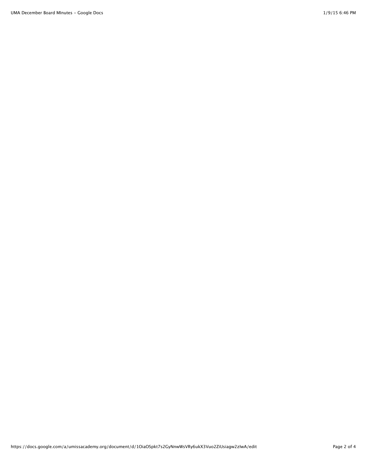UMA December Board MInutes - Google Docs 1/9/15 6:46 PM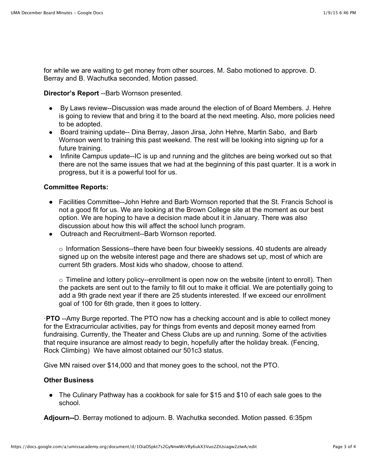for while we are waiting to get money from other sources. M. Sabo motioned to approve. D. Berray and B. Wachutka seconded. Motion passed.

#### **Director's Report** --Barb Wornson presented.

- By Laws review--Discussion was made around the election of of Board Members. J. Hehre is going to review that and bring it to the board at the next meeting. Also, more policies need to be adopted.
- Board training update-- Dina Berray, Jason Jirsa, John Hehre, Martin Sabo, and Barb Wornson went to training this past weekend. The rest will be looking into signing up for a future training.
- Infinite Campus update--IC is up and running and the glitches are being worked out so that there are not the same issues that we had at the beginning of this past quarter. It is a work in progress, but it is a powerful tool for us.

## **Committee Reports:**

- Facilities Committee--John Hehre and Barb Wornson reported that the St. Francis School is not a good fit for us. We are looking at the Brown College site at the moment as our best option. We are hoping to have a decision made about it in January. There was also discussion about how this will affect the school lunch program.
- Outreach and Recruitment--Barb Wornson reported.

 $\circ$  Information Sessions--there have been four biweekly sessions. 40 students are already signed up on the website interest page and there are shadows set up, most of which are current 5th graders. Most kids who shadow, choose to attend.

 $\circ$  Timeline and lottery policy--enrollment is open now on the website (intent to enroll). Then the packets are sent out to the family to fill out to make it official. We are potentially going to add a 9th grade next year if there are 25 students interested. If we exceed our enrollment goal of 100 for 6th grade, then it goes to lottery.

·**PTO** --Amy Burge reported. The PTO now has a checking account and is able to collect money for the Extracurricular activities, pay for things from events and deposit money earned from fundraising. Currently, the Theater and Chess Clubs are up and running. Some of the activities that require insurance are almost ready to begin, hopefully after the holiday break. (Fencing, Rock Climbing) We have almost obtained our 501c3 status.

Give MN raised over \$14,000 and that money goes to the school, not the PTO.

#### **Other Business**

• The Culinary Pathway has a cookbook for sale for \$15 and \$10 of each sale goes to the school.

**Adjourn--**D. Berray motioned to adjourn. B. Wachutka seconded. Motion passed. 6:35pm